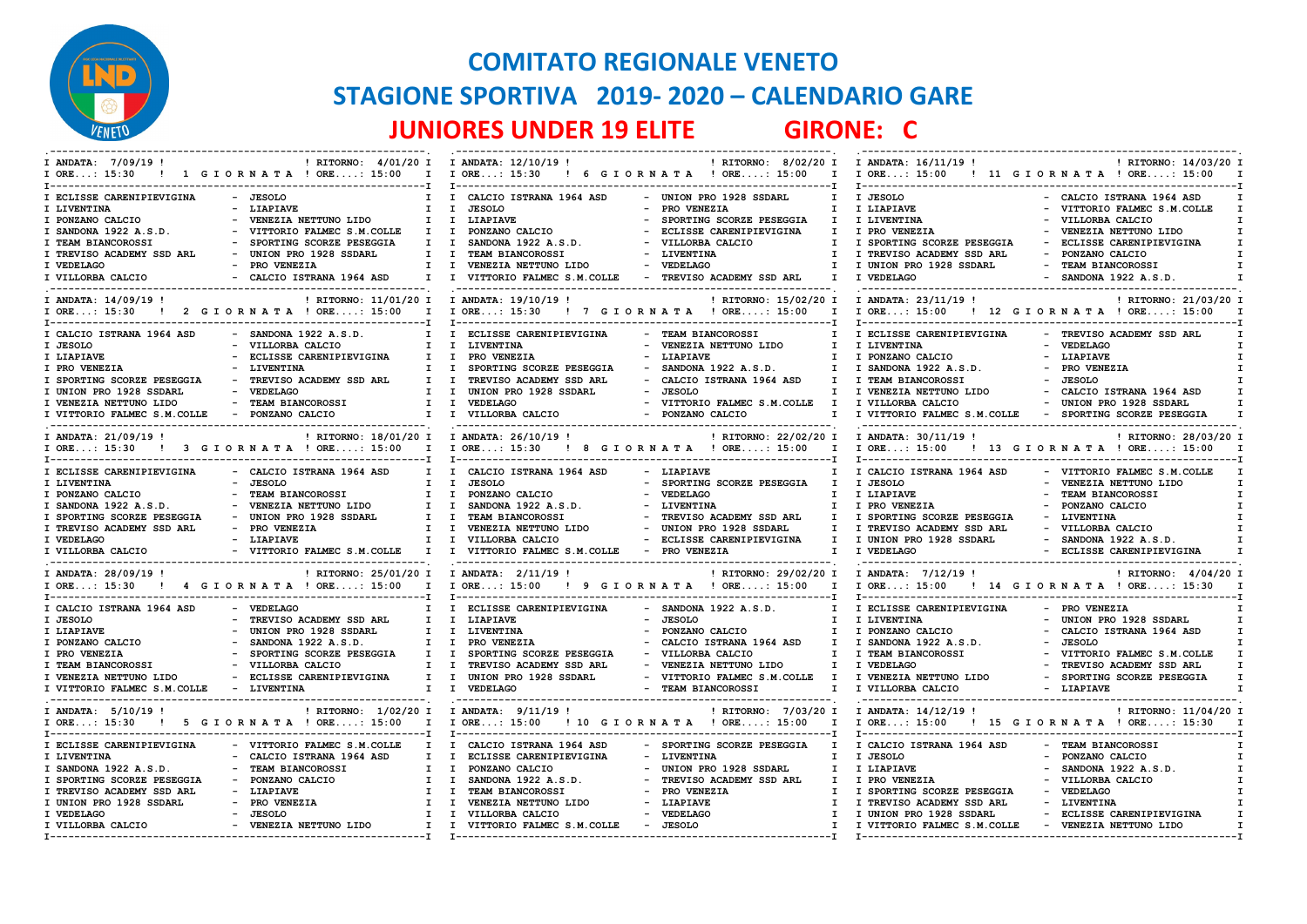

## **COMITATO REGIONALE VENETO STAGIONE SPORTIVA 2019- 2020 – CALENDARIO GARE JUNIORES UNDER 19 ELITE GIRONE: C**

| ! RITORNO: 4/01/20 I I ANDATA: 12/10/19 !<br>I ANDATA: 7/09/19!<br>! 1 GIORNATA ! ORE: 15:00<br>$I$ ORE: 15:30                                                                                                                                                                                                                                                                                        | ! RITORNO: 8/02/20 I I ANDATA: 16/11/19 !<br>I I ORE: 15:30 ! 6 G I OR N A T A ! ORE: 15:00                                                                                                                                                                                                                                                                                                                                                                                                                                                                           | ! RITORNO: 14/03/20 I<br>I I ORE: 15:00 ! 11 G I O R N A T A ! ORE: 15:00                                                                                                                                                                                                                                                                                                       |
|-------------------------------------------------------------------------------------------------------------------------------------------------------------------------------------------------------------------------------------------------------------------------------------------------------------------------------------------------------------------------------------------------------|-----------------------------------------------------------------------------------------------------------------------------------------------------------------------------------------------------------------------------------------------------------------------------------------------------------------------------------------------------------------------------------------------------------------------------------------------------------------------------------------------------------------------------------------------------------------------|---------------------------------------------------------------------------------------------------------------------------------------------------------------------------------------------------------------------------------------------------------------------------------------------------------------------------------------------------------------------------------|
| - JESOLO<br>I ECLISSE CARENIPIEVIGINA<br>$\mathbf{I}$<br>I LIVENTINA<br>- LIAPIAVE<br>I PONZANO CALCIO<br>- VENEZIA NETTUNO LIDO<br>$\mathbf{I}$<br>I SANDONA 1922 A.S.D.<br>- VITTORIO FALMEC S.M.COLLE<br>I TEAM BIANCOROSSI<br>- SPORTING SCORZE PESEGGIA<br>I TREVISO ACADEMY SSD ARL<br>- UNION PRO 1928 SSDARL<br>- PRO VENEZIA<br>I VEDELAGO<br>- CALCIO ISTRANA 1964 ASD<br>I VILLORBA CALCIO | I CALCIO ISTRANA 1964 ASD<br>- UNION PRO 1928 SSDARL<br>$\mathbf{I}$<br>- PRO VENEZIA<br>I I JESOLO<br>$\mathbf{I}$<br>I LIAPIAVE<br>- SPORTING SCORZE PESEGGIA<br>$\mathbf{I}$<br>I I PONZANO CALCIO<br>- ECLISSE CARENIPIEVIGINA<br>$\mathbf{I}$<br>$I$ $I$<br>SANDONA 1922 A.S.D.<br>- VILLORBA CALCIO<br>$\mathbf{I}$<br>TEAM BIANCOROSSI<br>- LIVENTINA<br>$I$ $I$<br>$\mathbf{I}$<br>- VEDELAGO<br>I I VENEZIA NETTUNO LIDO<br>$\mathbf{I}$<br>I I VITTORIO FALMEC S.M.COLLE - TREVISO ACADEMY SSD ARL<br>$\mathbf{I}$                                          | I JESOLO<br>- CALCIO ISTRANA 1964 ASD<br>I LIAPIAVE<br>- VITTORIO FALMEC S.M.COLLE<br>I LIVENTINA<br>- VILLORBA CALCIO<br>I PRO VENEZIA<br>- VENEZIA NETTUNO LIDO<br>I SPORTING SCORZE PESEGGIA<br>ECLISSE CARENIPIEVIGINA<br>$\sim$<br>I TREVISO ACADEMY SSD ARL<br>- PONZANO CALCIO<br>I UNION PRO 1928 SSDARL<br>- TEAM BIANCOROSSI<br>I VEDELAGO<br>$-$ SANDONA 1922 A.S.D. |
| ! RITORNO: 11/01/20 I I ANDATA: 19/10/19 !<br>I ANDATA: 14/09/19 !                                                                                                                                                                                                                                                                                                                                    | ! RITORNO: 15/02/20 I<br>I ORE: 15:30 ! 2 GIORNATA ! ORE: 15:00 I I ORE: 15:30 ! 7 GIORNATA ! ORE: 15:00 I                                                                                                                                                                                                                                                                                                                                                                                                                                                            | I ANDATA: 23/11/19 !<br>! RITORNO: 21/03/20 I<br>I ORE: 15:00 ! 12 G I OR N A T A ! ORE: 15:00                                                                                                                                                                                                                                                                                  |
| $-$ SANDONA 1922 A.S.D.<br>I CALCIO ISTRANA 1964 ASD<br>- VILLORBA CALCIO<br>I JESOLO<br>- ECLISSE CARENIPIEVIGINA<br>I LIAPIAVE<br>I PRO VENEZIA<br>- LIVENTINA<br>I SPORTING SCORZE PESEGGIA<br>- TREVISO ACADEMY SSD ARL<br>I UNION PRO 1928 SSDARL<br>- VEDELAGO<br>- TEAM BIANCOROSSI<br>I VENEZIA NETTUNO LIDO<br>- PONZANO CALCIO<br>I VITTORIO FALMEC S.M.COLLE                               | I I ECLISSE CARENIPIEVIGINA<br>- TEAM BIANCOROSSI<br>I.<br>I I LIVENTINA<br>- VENEZIA NETTUNO LIDO<br>$\mathbf{I}$<br>I I PRO VENEZIA<br>- LIAPIAVE<br>Ι.<br>$-$ SANDONA 1922 A.S.D.<br>I I SPORTING SCORZE PESEGGIA<br>I.<br>TREVISO ACADEMY SSD ARL<br>- CALCIO ISTRANA 1964 ASD<br>$I$ $I$<br>T<br>UNION PRO 1928 SSDARL<br>- JESOLO<br>$I$ $I$<br>$\mathbf{I}$<br>I I VEDELAGO<br>- VITTORIO FALMEC S.M.COLLE I<br>- PONZANO CALCIO<br>I I VILLORBA CALCIO<br>$\mathbf{I}$                                                                                        | I ECLISSE CARENIPIEVIGINA<br>- TREVISO ACADEMY SSD ARL<br>I LIVENTINA<br>- VEDELAGO<br>I PONZANO CALCIO<br>- LIAPIAVE<br>I SANDONA 1922 A.S.D.<br>- PRO VENEZIA<br>- JESOLO<br><b>I TEAM BIANCOROSSI</b><br>I VENEZIA NETTUNO LIDO<br>CALCIO ISTRANA 1964 ASD<br>- UNION PRO 1928 SSDARL<br>I VILLORBA CALCIO<br>I VITTORIO FALMEC S.M.COLLE - SPORTING SCORZE PESEGGIA         |
| ! RITORNO: 18/01/20 I I ANDATA: 26/10/19 !<br>I ANDATA: 21/09/19 !<br>! 3 GIORNATA ! ORE: 15:00 I I ORE: 15:30<br>$I$ ORE: 15:30<br>T-----------------------------                                                                                                                                                                                                                                    | ! RITORNO: 22/02/20 I<br>! 8 GIORNATA ! ORE: 15:00<br>$\mathbf{I}$                                                                                                                                                                                                                                                                                                                                                                                                                                                                                                    | I ANDATA: 30/11/19 !<br>! RITORNO: 28/03/20 I<br>I ORE: 15:00 ! 13 G I ORNATA ! ORE: 15:00                                                                                                                                                                                                                                                                                      |
| - CALCIO ISTRANA 1964 ASD<br>I ECLISSE CARENIPIEVIGINA<br>- JESOLO<br>I LIVENTINA<br>I.<br>I PONZANO CALCIO<br>- TEAM BIANCOROSSI<br>I SANDONA 1922 A.S.D.<br>- VENEZIA NETTUNO LIDO<br>I SPORTING SCORZE PESEGGIA<br>- UNION PRO 1928 SSDARL<br>- PRO VENEZIA<br>I TREVISO ACADEMY SSD ARL<br>I VEDELAGO<br>- LIAPIAVE<br>I VILLORBA CALCIO                                                          | CALCIO ISTRANA 1964 ASD<br>- LIAPIAVE<br>$I$ $I$<br>I.<br><b>JESOLO</b><br>- SPORTING SCORZE PESEGGIA<br>$\mathbf{I}$<br>$\mathbf{I}$<br>$I$ $I$<br>PONZANO CALCIO<br>- VEDELAGO<br>$\mathbf{I}$<br>- LIVENTINA<br>$I$ $I$<br>SANDONA 1922 A.S.D.<br>$\mathbf{I}$<br>$I$ $I$<br><b>TEAM BIANCOROSSI</b><br>- TREVISO ACADEMY SSD ARL<br>T<br>I I VENEZIA NETTUNO LIDO<br>- UNION PRO 1928 SSDARL<br>I.<br>I I VILLORBA CALCIO<br>- ECLISSE CARENIPIEVIGINA<br>$\mathbf{I}$<br>- VITTORIO FALMEC S.M.COLLE I I VITTORIO FALMEC S.M.COLLE - PRO VENEZIA<br>$\mathbf{I}$ | - VITTORIO FALMEC S.M.COLLE<br>I CALCIO ISTRANA 1964 ASD<br>I JESOLO<br>VENEZIA NETTUNO LIDO<br>I LIAPIAVE<br>- TEAM BIANCOROSSI<br>I PRO VENEZIA<br>- PONZANO CALCIO<br>I SPORTING SCORZE PESEGGIA<br>- LIVENTINA<br>I TREVISO ACADEMY SSD ARL<br>- VILLORBA CALCIO<br>I UNION PRO 1928 SSDARL<br>$-$ SANDONA 1922 A.S.D.<br>I VEDELAGO<br>- ECLISSE CARENIPIEVIGINA           |
| I ANDATA: 28/09/19 !<br>! RITORNO: 25/01/20 I I ANDATA: 2/11/19 !<br>I ORE: 15:30 ! 4 G I OR N A T A ! ORE: 15:00 I I ORE: 15:00                                                                                                                                                                                                                                                                      | ! RITORNO: 29/02/20 I<br>! 9 GIORNATA ! ORE: 15:00<br>$\mathbf{I}$                                                                                                                                                                                                                                                                                                                                                                                                                                                                                                    | I ANDATA: 7/12/19 !<br>! RITORNO: 4/04/20 I<br>I ORE: 15:00<br>! 14 GIORNATA ! ORE: 15:30                                                                                                                                                                                                                                                                                       |
| - VEDELAGO<br>I CALCIO ISTRANA 1964 ASD<br>- TREVISO ACADEMY SSD ARL<br>I JESOLO<br>- UNION PRO 1928 SSDARL<br>I LIAPIAVE<br>I PONZANO CALCIO<br>$-$ SANDONA 1922 A.S.D.<br>I PRO VENEZIA<br>- SPORTING SCORZE PESEGGIA<br>I TEAM BIANCOROSSI<br>- VILLORBA CALCIO<br>- ECLISSE CARENIPIEVIGINA<br>I VENEZIA NETTUNO LIDO<br>- LIVENTINA<br>I VITTORIO FALMEC S.M.COLLE                               | I I ECLISSE CARENIPIEVIGINA<br>$-$ SANDONA 1922 A.S.D.<br>$\mathbf{I}$<br>- JESOLO<br>I I LIAPIAVE<br>T<br>I I LIVENTINA<br>PONZANO CALCIO<br>$\mathbf{I}$<br>I I PRO VENEZIA<br>CALCIO ISTRANA 1964 ASD<br>$\mathbf{I}$<br>$I$ $I$<br>SPORTING SCORZE PESEGGIA<br>VILLORBA CALCIO<br>T<br>I I TREVISO ACADEMY SSD ARL<br>- VENEZIA NETTUNO LIDO<br>$\mathbf{I}$<br>UNION PRO 1928 SSDARL<br>- VITTORIO FALMEC S.M.COLLE I<br>$I$ $I$<br>I I VEDELAGO<br>- TEAM BIANCOROSSI<br>Ι.                                                                                     | I ECLISSE CARENIPIEVIGINA<br>- PRO VENEZIA<br>- UNION PRO 1928 SSDARL<br>I LIVENTINA<br>I PONZANO CALCIO<br>- CALCIO ISTRANA 1964 ASD<br>I SANDONA 1922 A.S.D.<br><b>JESOLO</b><br>I TEAM BIANCOROSSI<br>VITTORIO FALMEC S.M.COLLE<br>I VEDELAGO<br>TREVISO ACADEMY SSD ARL<br>I VENEZIA NETTUNO LIDO<br>- SPORTING SCORZE PESEGGIA<br>I VILLORBA CALCIO<br>- LIAPIAVE          |
| ! RITORNO: 1/02/20 I I ANDATA: 9/11/19 !<br>I ANDATA: 5/10/19 !<br>I ORE: 15:30 ! 5 G I OR N A T A ! ORE: 15:00                                                                                                                                                                                                                                                                                       | ! RITORNO: 7/03/20 I<br>I I ORE: 15:00 ! 10 G I OR N A T A ! ORE: 15:00<br>I.                                                                                                                                                                                                                                                                                                                                                                                                                                                                                         | I ANDATA: 14/12/19 !<br>! RITORNO: 11/04/20 I<br>I ORE: 15:00 ! 15 G I O R N A T A ! ORE: 15:30                                                                                                                                                                                                                                                                                 |
| I ECLISSE CARENIPIEVIGINA<br>- VITTORIO FALMEC S.M.COLLE<br>I LIVENTINA<br>- CALCIO ISTRANA 1964 ASD<br>- TEAM BIANCOROSSI<br>I SANDONA 1922 A.S.D.<br>I SPORTING SCORZE PESEGGIA<br>- PONZANO CALCIO<br>- LIAPIAVE<br>I TREVISO ACADEMY SSD ARL<br>I UNION PRO 1928 SSDARL<br>- PRO VENEZIA<br>I VEDELAGO<br>- JESOLO<br>I VILLORBA CALCIO<br>- VENEZIA NETTUNO LIDO                                 | CALCIO ISTRANA 1964 ASD<br>- SPORTING SCORZE PESEGGIA<br>$I$ $I$<br>$\mathbf{I}$<br>I I ECLISSE CARENIPIEVIGINA<br>- LIVENTINA<br>$\mathbf{I}$<br>$I$ $I$<br>PONZANO CALCIO<br>- UNION PRO 1928 SSDARL<br>$\mathbf{I}$<br>$I$ $I$<br>SANDONA 1922 A.S.D.<br>TREVISO ACADEMY SSD ARL<br>$\mathbf{I}$<br>$I$ $I$<br>TEAM BIANCOROSSI<br>- PRO VENEZIA<br>T<br>I I VENEZIA NETTUNO LIDO<br>- LIAPIAVE<br>I.<br>I I VILLORBA CALCIO<br>- VEDELAGO<br>$\mathbf{I}$<br>I I VITTORIO FALMEC S.M.COLLE - JESOLO                                                               | I CALCIO ISTRANA 1964 ASD<br>- TEAM BIANCOROSSI<br>I JESOLO<br>- PONZANO CALCIO<br>$-$ SANDONA 1922 A.S.D.<br>I LIAPIAVE<br>I PRO VENEZIA<br>- VILLORBA CALCIO<br>I SPORTING SCORZE PESEGGIA<br>- VEDELAGO<br>I TREVISO ACADEMY SSD ARL<br>- LIVENTINA<br>I UNION PRO 1928 SSDARL<br>- ECLISSE CARENIPIEVIGINA<br>I I VITTORIO FALMEC S.M.COLLE<br>- VENEZIA NETTUNO LIDO       |